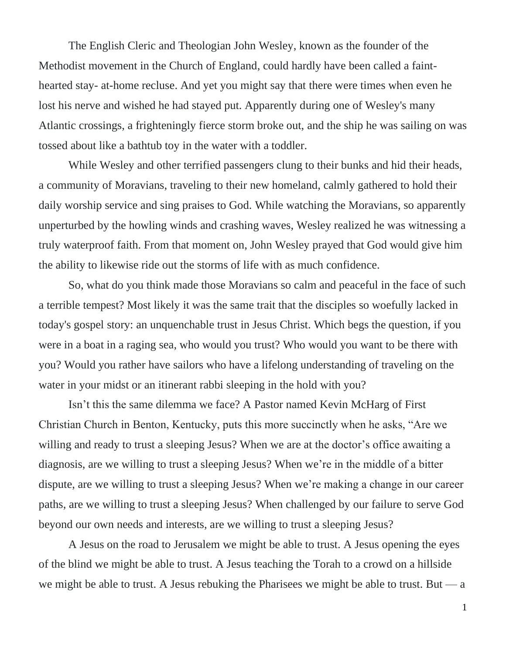The English Cleric and Theologian John Wesley, known as the founder of the Methodist movement in the Church of England, could hardly have been called a fainthearted stay- at-home recluse. And yet you might say that there were times when even he lost his nerve and wished he had stayed put. Apparently during one of Wesley's many Atlantic crossings, a frighteningly fierce storm broke out, and the ship he was sailing on was tossed about like a bathtub toy in the water with a toddler.

While Wesley and other terrified passengers clung to their bunks and hid their heads, a community of Moravians, traveling to their new homeland, calmly gathered to hold their daily worship service and sing praises to God. While watching the Moravians, so apparently unperturbed by the howling winds and crashing waves, Wesley realized he was witnessing a truly waterproof faith. From that moment on, John Wesley prayed that God would give him the ability to likewise ride out the storms of life with as much confidence.

So, what do you think made those Moravians so calm and peaceful in the face of such a terrible tempest? Most likely it was the same trait that the disciples so woefully lacked in today's gospel story: an unquenchable trust in Jesus Christ. Which begs the question, if you were in a boat in a raging sea, who would you trust? Who would you want to be there with you? Would you rather have sailors who have a lifelong understanding of traveling on the water in your midst or an itinerant rabbi sleeping in the hold with you?

Isn't this the same dilemma we face? A Pastor named Kevin McHarg of First Christian Church in Benton, Kentucky, puts this more succinctly when he asks, "Are we willing and ready to trust a sleeping Jesus? When we are at the doctor's office awaiting a diagnosis, are we willing to trust a sleeping Jesus? When we're in the middle of a bitter dispute, are we willing to trust a sleeping Jesus? When we're making a change in our career paths, are we willing to trust a sleeping Jesus? When challenged by our failure to serve God beyond our own needs and interests, are we willing to trust a sleeping Jesus?

A Jesus on the road to Jerusalem we might be able to trust. A Jesus opening the eyes of the blind we might be able to trust. A Jesus teaching the Torah to a crowd on a hillside we might be able to trust. A Jesus rebuking the Pharisees we might be able to trust. But  $-a$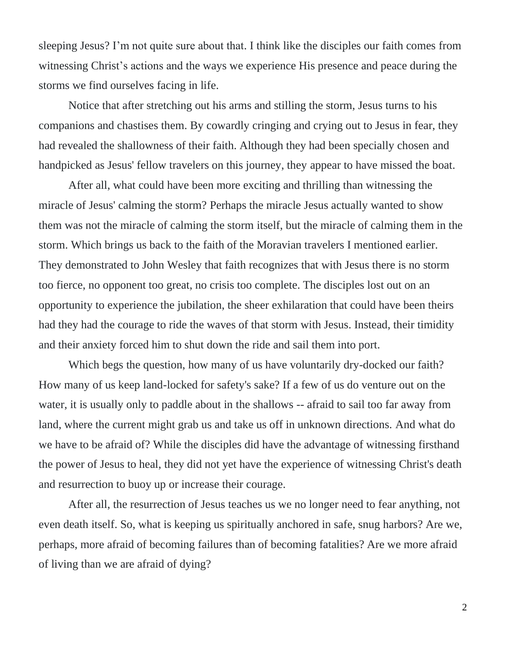sleeping Jesus? I'm not quite sure about that. I think like the disciples our faith comes from witnessing Christ's actions and the ways we experience His presence and peace during the storms we find ourselves facing in life.

Notice that after stretching out his arms and stilling the storm, Jesus turns to his companions and chastises them. By cowardly cringing and crying out to Jesus in fear, they had revealed the shallowness of their faith. Although they had been specially chosen and handpicked as Jesus' fellow travelers on this journey, they appear to have missed the boat.

After all, what could have been more exciting and thrilling than witnessing the miracle of Jesus' calming the storm? Perhaps the miracle Jesus actually wanted to show them was not the miracle of calming the storm itself, but the miracle of calming them in the storm. Which brings us back to the faith of the Moravian travelers I mentioned earlier. They demonstrated to John Wesley that faith recognizes that with Jesus there is no storm too fierce, no opponent too great, no crisis too complete. The disciples lost out on an opportunity to experience the jubilation, the sheer exhilaration that could have been theirs had they had the courage to ride the waves of that storm with Jesus. Instead, their timidity and their anxiety forced him to shut down the ride and sail them into port.

Which begs the question, how many of us have voluntarily dry-docked our faith? How many of us keep land-locked for safety's sake? If a few of us do venture out on the water, it is usually only to paddle about in the shallows -- afraid to sail too far away from land, where the current might grab us and take us off in unknown directions. And what do we have to be afraid of? While the disciples did have the advantage of witnessing firsthand the power of Jesus to heal, they did not yet have the experience of witnessing Christ's death and resurrection to buoy up or increase their courage.

After all, the resurrection of Jesus teaches us we no longer need to fear anything, not even death itself. So, what is keeping us spiritually anchored in safe, snug harbors? Are we, perhaps, more afraid of becoming failures than of becoming fatalities? Are we more afraid of living than we are afraid of dying?